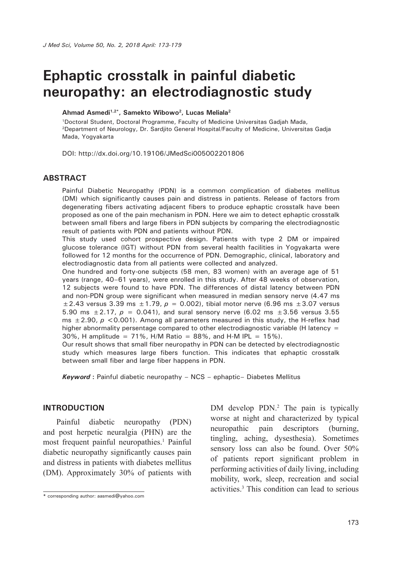# **Ephaptic crosstalk in painful diabetic neuropathy: an electrodiagnostic study**

#### **Ahmad Asmedi1,2\*, Samekto Wibowo2, Lucas Meliala2**

1Doctoral Student, Doctoral Programme, Faculty of Medicine Universitas Gadjah Mada, 2Department of Neurology, Dr. Sardjito General Hospital/Faculty of Medicine, Universitas Gadja Mada, Yogyakarta

DOI: http://dx.doi.org/10.19106/JMedSci005002201806

#### **ABSTRACT**

Painful Diabetic Neuropathy (PDN) is a common complication of diabetes mellitus (DM) which significantly causes pain and distress in patients. Release of factors from degenerating fibers activating adjacent fibers to produce ephaptic crosstalk have been proposed as one of the pain mechanism in PDN. Here we aim to detect ephaptic crosstalk between small fibers and large fibers in PDN subjects by comparing the electrodiagnostic result of patients with PDN and patients without PDN.

This study used cohort prospective design. Patients with type 2 DM or impaired glucose tolerance (IGT) without PDN from several health facilities in Yogyakarta were followed for 12 months for the occurrence of PDN. Demographic, clinical, laboratory and electrodiagnostic data from all patients were collected and analyzed.

One hundred and forty-one subjects (58 men, 83 women) with an average age of 51 years (range, 40–61 years), were enrolled in this study. After 48 weeks of observation, 12 subjects were found to have PDN. The differences of distal latency between PDN and non-PDN group were significant when measured in median sensory nerve (4.47 ms  $\pm$  2.43 versus 3.39 ms  $\pm$  1.79,  $p = 0.002$ ), tibial motor nerve (6.96 ms  $\pm$  3.07 versus 5.90 ms  $\pm 2.17$ ,  $p = 0.041$ ), and sural sensory nerve (6.02 ms  $\pm 3.56$  versus 3.55 ms  $\pm$  2.90,  $p$  < 0.001). Among all parameters measured in this study, the H-reflex had higher abnormality persentage compared to other electrodiagnostic variable (H latency = 30%, H amplitude = 71%, H/M Ratio = 88%, and H-M IPL = 15%).

Our result shows that small fiber neuropathy in PDN can be detected by electrodiagnostic study which measures large fibers function. This indicates that ephaptic crosstalk between small fiber and large fiber happens in PDN.

*Keyword* **:** Painful diabetic neuropathy – NCS – ephaptic– Diabetes Mellitus

#### **INTRODUCTION**

Painful diabetic neuropathy (PDN) and post herpetic neuralgia (PHN) are the most frequent painful neuropathies.<sup>1</sup> Painful diabetic neuropathy significantly causes pain and distress in patients with diabetes mellitus (DM). Approximately 30% of patients with

DM develop PDN.<sup>2</sup> The pain is typically worse at night and characterized by typical neuropathic pain descriptors (burning, tingling, aching, dysesthesia). Sometimes sensory loss can also be found. Over 50% of patients report significant problem in performing activities of daily living, including mobility, work, sleep, recreation and social activities.3 This condition can lead to serious

**<sup>\*</sup>** corresponding author: aasmedi@yahoo.com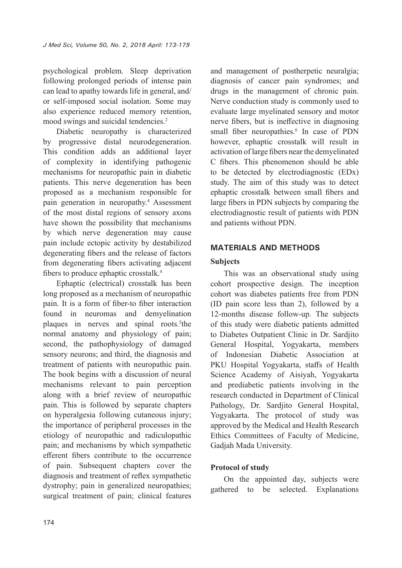psychological problem. Sleep deprivation following prolonged periods of intense pain can lead to apathy towards life in general, and/ or self-imposed social isolation. Some may also experience reduced memory retention, mood swings and suicidal tendencies.2

Diabetic neuropathy is characterized by progressive distal neurodegeneration. This condition adds an additional layer of complexity in identifying pathogenic mechanisms for neuropathic pain in diabetic patients. This nerve degeneration has been proposed as a mechanism responsible for pain generation in neuropathy.<sup>4</sup> Assessment of the most distal regions of sensory axons have shown the possibility that mechanisms by which nerve degeneration may cause pain include ectopic activity by destabilized degenerating fibers and the release of factors from degenerating fibers activating adjacent fibers to produce ephaptic crosstalk.<sup>4</sup>

Ephaptic (electrical) crosstalk has been long proposed as a mechanism of neuropathic pain. It is a form of fiber-to fiber interaction found in neuromas and demyelination plaques in nerves and spinal roots.<sup>5</sup>the normal anatomy and physiology of pain; second, the pathophysiology of damaged sensory neurons; and third, the diagnosis and treatment of patients with neuropathic pain. The book begins with a discussion of neural mechanisms relevant to pain perception along with a brief review of neuropathic pain. This is followed by separate chapters on hyperalgesia following cutaneous injury; the importance of peripheral processes in the etiology of neuropathic and radiculopathic pain; and mechanisms by which sympathetic efferent fibers contribute to the occurrence of pain. Subsequent chapters cover the diagnosis and treatment of reflex sympathetic dystrophy; pain in generalized neuropathies; surgical treatment of pain; clinical features

and management of postherpetic neuralgia; diagnosis of cancer pain syndromes; and drugs in the management of chronic pain. Nerve conduction study is commonly used to evaluate large myelinated sensory and motor nerve fibers, but is ineffective in diagnosing small fiber neuropathies.<sup>6</sup> In case of PDN however, ephaptic crosstalk will result in activation of large fibers near the demyelinated C fibers. This phenomenon should be able to be detected by electrodiagnostic (EDx) study. The aim of this study was to detect ephaptic crosstalk between small fibers and large fibers in PDN subjects by comparing the electrodiagnostic result of patients with PDN and patients without PDN.

## **MATERIALS AND METHODS**

#### **Subjects**

This was an observational study using cohort prospective design. The inception cohort was diabetes patients free from PDN (ID pain score less than 2), followed by a 12-months disease follow-up. The subjects of this study were diabetic patients admitted to Diabetes Outpatient Clinic in Dr. Sardjito General Hospital, Yogyakarta, members of Indonesian Diabetic Association at PKU Hospital Yogyakarta, staffs of Health Science Academy of Aisiyah, Yogyakarta and prediabetic patients involving in the research conducted in Department of Clinical Pathology, Dr. Sardiito General Hospital, Yogyakarta. The protocol of study was approved by the Medical and Health Research Ethics Committees of Faculty of Medicine, Gadjah Mada University.

## **Protocol of study**

On the appointed day, subjects were gathered to be selected. Explanations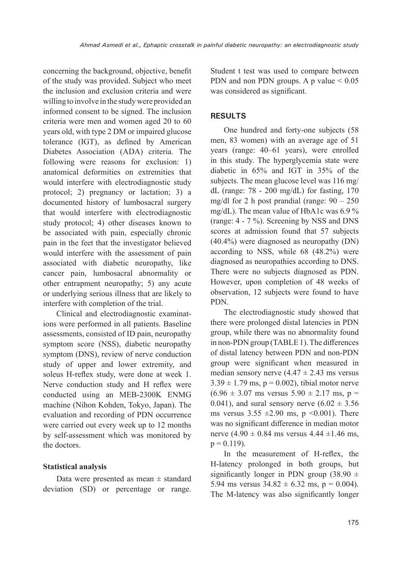concerning the background, objective, benefit of the study was provided. Subject who meet the inclusion and exclusion criteria and were willing to involve in the study were provided an informed consent to be signed. The inclusion criteria were men and women aged 20 to 60 years old, with type 2 DM or impaired glucose tolerance (IGT), as defined by American Diabetes Association (ADA) criteria. The following were reasons for exclusion: 1) anatomical deformities on extremities that would interfere with electrodiagnostic study protocol; 2) pregnancy or lactation; 3) a documented history of lumbosacral surgery that would interfere with electrodiagnostic study protocol; 4) other diseases known to be associated with pain, especially chronic pain in the feet that the investigator believed would interfere with the assessment of pain associated with diabetic neuropathy, like cancer pain, lumbosacral abnormality or other entrapment neuropathy; 5) any acute or underlying serious illness that are likely to interfere with completion of the trial.

Clinical and electrodiagnostic examinations were performed in all patients. Baseline assessments, consisted of ID pain, neuropathy symptom score (NSS), diabetic neuropathy symptom (DNS), review of nerve conduction study of upper and lower extremity, and soleus H-reflex study, were done at week 1. Nerve conduction study and H reflex were conducted using an MEB-2300K ENMG machine (Nihon Kohden, Tokyo, Japan). The evaluation and recording of PDN occurrence were carried out every week up to 12 months by self-assessment which was monitored by the doctors.

## **Statistical analysis**

Data were presented as mean  $\pm$  standard deviation (SD) or percentage or range. Student t test was used to compare between PDN and non PDN groups. A p value  $\leq 0.05$ was considered as significant.

## **RESULTS**

One hundred and forty-one subjects (58 men, 83 women) with an average age of 51 years (range: 40–61 years), were enrolled in this study. The hyperglycemia state were diabetic in 65% and IGT in 35% of the subjects. The mean glucose level was 116 mg/ dL (range: 78 - 200 mg/dL) for fasting, 170 mg/dl for 2 h post prandial (range:  $90 - 250$ mg/dL). The mean value of HbA1c was 6.9 % (range: 4 - 7 %). Screening by NSS and DNS scores at admission found that 57 subjects (40.4%) were diagnosed as neuropathy (DN) according to NSS, while 68 (48.2%) were diagnosed as neuropathies according to DNS. There were no subjects diagnosed as PDN. However, upon completion of 48 weeks of observation, 12 subjects were found to have PDN.

The electrodiagnostic study showed that there were prolonged distal latencies in PDN group, while there was no abnormality found in non-PDN group (TABLE 1). The differences of distal latency between PDN and non-PDN group were significant when measured in median sensory nerve  $(4.47 \pm 2.43 \text{ ms} \text{ versus})$  $3.39 \pm 1.79$  ms,  $p = 0.002$ ), tibial motor nerve  $(6.96 \pm 3.07 \text{ ms} \text{ versus } 5.90 \pm 2.17 \text{ ms}, \text{ p} =$ 0.041), and sural sensory nerve  $(6.02 \pm 3.56)$ ms versus  $3.55 \pm 2.90$  ms, p <0.001). There was no significant difference in median motor nerve  $(4.90 \pm 0.84 \text{ ms}$  versus  $4.44 \pm 1.46 \text{ ms}$ ,  $p = 0.119$ ).

In the measurement of H-reflex, the H-latency prolonged in both groups, but significantly longer in PDN group  $(38.90 \pm$ 5.94 ms versus  $34.82 \pm 6.32$  ms, p = 0.004). The M-latency was also significantly longer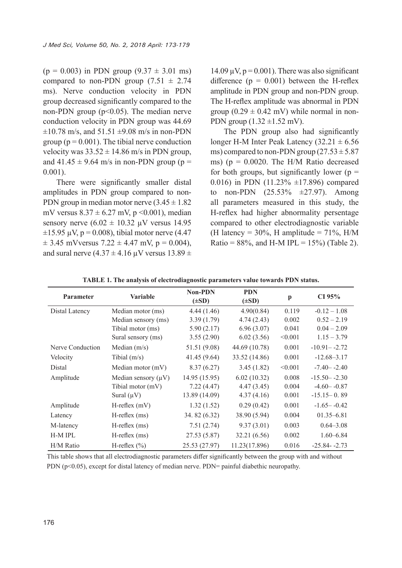$(p = 0.003)$  in PDN group  $(9.37 \pm 3.01 \text{ ms})$ compared to non-PDN group  $(7.51 \pm 2.74)$ ms). Nerve conduction velocity in PDN group decreased significantly compared to the non-PDN group ( $p<0.05$ ). The median nerve conduction velocity in PDN group was 44.69  $\pm 10.78$  m/s, and  $51.51 \pm 9.08$  m/s in non-PDN group ( $p = 0.001$ ). The tibial nerve conduction velocity was  $33.52 \pm 14.86$  m/s in PDN group, and  $41.45 \pm 9.64$  m/s in non-PDN group (p = 0.001).

There were significantly smaller distal amplitudes in PDN group compared to non-PDN group in median motor nerve  $(3.45 \pm 1.82)$ mV versus  $8.37 \pm 6.27$  mV, p < 0.001), median sensory nerve  $(6.02 \pm 10.32 \,\mu\text{V}$  versus 14.95  $\pm 15.95 \mu V$ , p = 0.008), tibial motor nerve (4.47)  $\pm$  3.45 mVversus 7.22  $\pm$  4.47 mV, p = 0.004), and sural nerve  $(4.37 \pm 4.16 \,\mu\text{V}$  versus  $13.89 \pm$ 

14.09  $\mu$ V,  $p = 0.001$ ). There was also significant difference  $(p = 0.001)$  between the H-reflex amplitude in PDN group and non-PDN group. The H-reflex amplitude was abnormal in PDN group  $(0.29 \pm 0.42 \text{ mV})$  while normal in non-PDN group  $(1.32 \pm 1.52 \text{ mV})$ .

The PDN group also had significantly longer H-M Inter Peak Latency  $(32.21 \pm 6.56$ ms) compared to non-PDN group  $(27.53 \pm 5.87)$ ms) ( $p = 0.0020$ . The H/M Ratio decreased for both groups, but significantly lower ( $p =$ 0.016) in PDN (11.23%  $\pm$ 17.896) compared to non-PDN  $(25.53\% +27.97)$ . Among all parameters measured in this study, the H-reflex had higher abnormality persentage compared to other electrodiagnostic variable (H latency = 30%, H amplitude =  $71\%$ , H/M Ratio =  $88\%$ , and H-M IPL =  $15\%$ ) (Table 2).

| <b>Parameter</b> | <b>Variable</b>          | <b>Non-PDN</b><br>$(\pm SD)$ | <b>PDN</b><br>$(\pm SD)$ | p       | CI 95%           |
|------------------|--------------------------|------------------------------|--------------------------|---------|------------------|
| Distal Latency   | Median motor (ms)        | 4.44(1.46)                   | 4.90(0.84)               | 0.119   | $-0.12 - 1.08$   |
|                  | Median sensory (ms)      | 3.39(1.79)                   | 4.74(2.43)               | 0.002   | $0.52 - 2.19$    |
|                  | Tibial motor (ms)        | 5.90(2.17)                   | 6.96(3.07)               | 0.041   | $0.04 - 2.09$    |
|                  | Sural sensory (ms)       | 3.55(2.90)                   | 6.02(3.56)               | < 0.001 | $1.15 - 3.79$    |
| Nerve Conduction | Median $(m/s)$           | 51.51 (9.08)                 | 44.69 (10.78)            | 0.001   | $-10.91 - -2.72$ |
| Velocity         | Tibial $(m/s)$           | 41.45 (9.64)                 | 33.52 (14.86)            | 0.001   | $-12.68 - 3.17$  |
| Distal           | Median motor (mV)        | 8.37(6.27)                   | 3.45(1.82)               | < 0.001 | $-7.40 - -2.40$  |
| Amplitude        | Median sensory $(\mu V)$ | 14.95 (15.95)                | 6.02(10.32)              | 0.008   | $-15.50 - -2.30$ |
|                  | Tibial motor (mV)        | 7.22(4.47)                   | 4.47(3.45)               | 0.004   | $-4.60 - -0.87$  |
|                  | Sural $(\mu V)$          | 13.89 (14.09)                | 4.37(4.16)               | 0.001   | $-15.15-0.89$    |
| Amplitude        | $H$ -reflex $(mV)$       | 1.32(1.52)                   | 0.29(0.42)               | 0.001   | $-1.65 - -0.42$  |
| Latency          | $H$ -reflex $(ms)$       | 34.82 (6.32)                 | 38.90 (5.94)             | 0.004   | $01.35 - 6.81$   |
| M-latency        | $H$ -reflex $(ms)$       | 7.51(2.74)                   | 9.37(3.01)               | 0.003   | $0.64 - 3.08$    |
| <b>H-M IPL</b>   | $H$ -reflex $(ms)$       | 27.53 (5.87)                 | 32.21 (6.56)             | 0.002   | $1.60 - 6.84$    |
| H/M Ratio        | H-reflex $(\% )$         | 25.53 (27.97)                | 11.23(17.896)            | 0.016   | $-25.84 - 2.73$  |

**TABLE 1. The analysis of electrodiagnostic parameters value towards PDN status.**

This table shows that all electrodiagnostic parameters differ significantly between the group with and without PDN (p<0.05), except for distal latency of median nerve. PDN= painful diabethic neuropathy.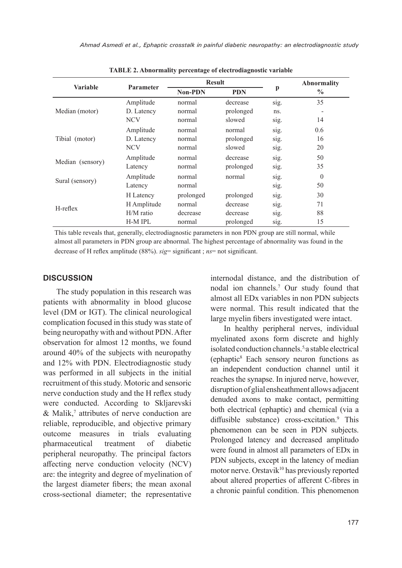|                  | <b>Parameter</b> | <b>Result</b>  |            |      | <b>Abnormality</b> |
|------------------|------------------|----------------|------------|------|--------------------|
| <b>Variable</b>  |                  | <b>Non-PDN</b> | <b>PDN</b> | p    | $\frac{0}{0}$      |
|                  | Amplitude        | normal         | decrease   | S1g. | 35                 |
| Median (motor)   | D. Latency       | normal         | prolonged  | ns.  |                    |
|                  | <b>NCV</b>       | normal         | slowed     | S1g. | 14                 |
|                  | Amplitude        | normal         | normal     | sig. | 0.6                |
| Tibial (motor)   | D. Latency       | normal         | prolonged  | sig. | 16                 |
|                  | <b>NCV</b>       | normal         | slowed     | sig. | 20                 |
|                  | Amplitude        | normal         | decrease   | sig. | 50                 |
| Median (sensory) | Latency          | normal         | prolonged  | sig. | 35                 |
| Sural (sensory)  | Amplitude        | normal         | normal     | sig. | $\theta$           |
|                  | Latency          | normal         |            | sig. | 50                 |
|                  | H Latency        | prolonged      | prolonged  | sig. | 30                 |
| $H$ -reflex      | H Amplitude      | normal         | decrease   | sig. | 71                 |
|                  | $H/M$ ratio      | decrease       | decrease   | sig. | 88                 |
|                  | <b>H-M IPL</b>   | normal         | prolonged  | sig. | 15                 |

**TABLE 2. Abnormality percentage of electrodiagnostic variable**

This table reveals that, generally, electrodiagnostic parameters in non PDN group are still normal, while almost all parameters in PDN group are abnormal. The highest percentage of abnormality was found in the decrease of H reflex amplitude (88%). *sig*= significant ; *ns*= not significant.

#### **DISCUSSION**

The study population in this research was patients with abnormality in blood glucose level (DM or IGT). The clinical neurological complication focused in this study was state of being neuropathy with and without PDN. After observation for almost 12 months, we found around 40% of the subjects with neuropathy and 12% with PDN. Electrodiagnostic study was performed in all subjects in the initial recruitment of this study. Motoric and sensoric nerve conduction study and the H reflex study were conducted. According to Skljarevski  $&$  Malik,<sup>7</sup> attributes of nerve conduction are reliable, reproducible, and objective primary outcome measures in trials evaluating pharmaceutical treatment of diabetic peripheral neuropathy. The principal factors affecting nerve conduction velocity (NCV) are: the integrity and degree of myelination of the largest diameter fibers; the mean axonal cross-sectional diameter; the representative

internodal distance, and the distribution of nodal ion channels.7 Our study found that almost all EDx variables in non PDN subjects were normal. This result indicated that the large myelin fibers investigated were intact.

In healthy peripheral nerves, individual myelinated axons form discrete and highly isolated conduction channels.<sup>5,</sup>a stable electrical (ephaptic<sup>8</sup> Each sensory neuron functions as an independent conduction channel until it reaches the synapse. In injured nerve, however, disruption of glial ensheathment allows adjacent denuded axons to make contact, permitting both electrical (ephaptic) and chemical (via a diffusible substance) cross-excitation.<sup>9</sup> This phenomenon can be seen in PDN subjects. Prolonged latency and decreased amplitudo were found in almost all parameters of EDx in PDN subjects, except in the latency of median motor nerve. Orstavik<sup>10</sup> has previously reported about altered properties of afferent C-fibres in a chronic painful condition. This phenomenon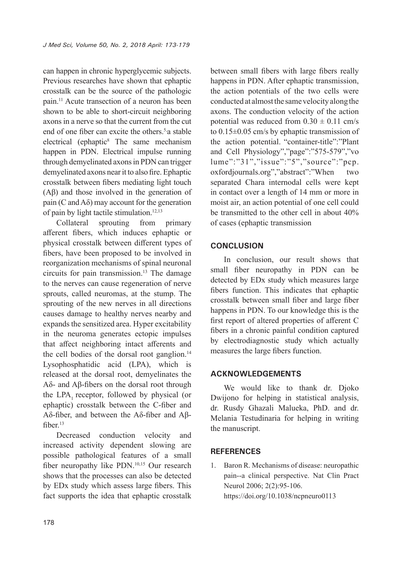can happen in chronic hyperglycemic subjects. Previous researches have shown that ephaptic crosstalk can be the source of the pathologic pain.11 Acute transection of a neuron has been shown to be able to short-circuit neighboring axons in a nerve so that the current from the cut end of one fiber can excite the others.5,a stable electrical (ephaptic<sup>8</sup> The same mechanism happen in PDN. Electrical impulse running through demyelinated axons in PDN can trigger demyelinated axons near it to also fire. Ephaptic crosstalk between fibers mediating light touch (Aβ) and those involved in the generation of pain (C and  $A\delta$ ) may account for the generation of pain by light tactile stimulation.<sup>12,13</sup>

Collateral sprouting from primary afferent fibers, which induces ephaptic or physical crosstalk between different types of fibers, have been proposed to be involved in reorganization mechanisms of spinal neuronal circuits for pain transmission.<sup>13</sup> The damage to the nerves can cause regeneration of nerve sprouts, called neuromas, at the stump. The sprouting of the new nerves in all directions causes damage to healthy nerves nearby and expands the sensitized area. Hyper excitability in the neuroma generates ectopic impulses that affect neighboring intact afferents and the cell bodies of the dorsal root ganglion.<sup>14</sup> Lysophosphatidic acid (LPA), which is released at the dorsal root, demyelinates the Aδ- and Aβ-fibers on the dorsal root through the LPA, receptor, followed by physical (or ephaptic) crosstalk between the C-fiber and Aδ-fiber, and between the Aδ-fiber and Aβfiber.<sup>13</sup>

Decreased conduction velocity and increased activity dependent slowing are possible pathological features of a small fiber neuropathy like PDN.<sup>10,15</sup> Our research shows that the processes can also be detected by EDx study which assess large fibers. This fact supports the idea that ephaptic crosstalk

between small fibers with large fibers really happens in PDN. After ephaptic transmission, the action potentials of the two cells were conducted at almost the same velocity along the axons. The conduction velocity of the action potential was reduced from  $0.30 \pm 0.11$  cm/s to 0.15±0.05 cm/s by ephaptic transmission of the action potential. "container-title":"Plant and Cell Physiology","page":"575-579","vo lume":"31","issue":"5","source":"pcp. oxfordjournals.org","abstract":"When two separated Chara internodal cells were kept in contact over a length of 14 mm or more in moist air, an action potential of one cell could be transmitted to the other cell in about 40% of cases (ephaptic transmission

#### **CONCLUSION**

In conclusion, our result shows that small fiber neuropathy in PDN can be detected by EDx study which measures large fibers function. This indicates that ephaptic crosstalk between small fiber and large fiber happens in PDN. To our knowledge this is the first report of altered properties of afferent C fibers in a chronic painful condition captured by electrodiagnostic study which actually measures the large fibers function.

## **ACKNOWLEDGEMENTS**

We would like to thank dr. Djoko Dwijono for helping in statistical analysis, dr. Rusdy Ghazali Malueka, PhD. and dr. Melania Testudinaria for helping in writing the manuscript.

#### **REFERENCES**

1. Baron R. Mechanisms of disease: neuropathic pain--a clinical perspective. Nat Clin Pract Neurol 2006; 2(2):95-106. https://doi.org/10.1038/ncpneuro0113